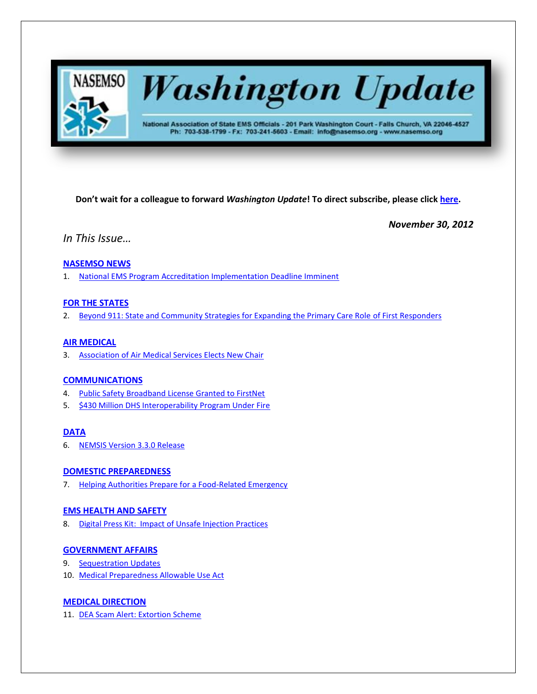

# **Washington Update**

National Association of State EMS Officials - 201 Park Washington Court - Falls Church, VA 22046-4527 Ph: 703-538-1799 - Fx: 703-241-5603 - Email: info@nasemso.org - www.nasemso.org

**Don't wait for a colleague to forward** *Washington Update***! To direct subscribe, please click [here.](http://lists.nasemso.org/read/all_forums/subscribe?name=wu%20)**

*November 30, 2012*

*In This Issue…*

# **[NASEMSO NEWS](#page-1-0)**

1. [National EMS Program Accreditation Implementation Deadline Imminent](#page-1-0)

# **[FOR THE STATES](#page-1-1)**

2. [Beyond 911: State and Community Strategies for Expanding the Primary Care Role](#page-2-0) of First Responders

# **[AIR MEDICAL](#page-2-1)**

3. [Association of Air Medical Services Elects New Chair](#page-2-2)

# **[COMMUNICATIONS](#page-2-3)**

- 4. [Public Safety Broadband License Granted to FirstNet](#page-2-3)
- 5. [\\$430 Million DHS Interoperability Program Under Fire](#page-2-4)

# **[DATA](#page-2-5)**

6. [NEMSIS Version 3.3.0 Release](#page-2-6)

## **[DOMESTIC PREPAREDNESS](#page-2-7)**

7. [Helping Authorities Prepare for a Food-Related Emergency](#page-2-8)

## **[EMS HEALTH AND SAFETY](#page-2-9)**

8. [Digital Press Kit: Impact of Unsafe Injection Practices](#page-2-10)

## **[GOVERNMENT AFFAIRS](#page-3-0)**

- 9. [Sequestration Updates](#page-3-1)
- 10. [Medical Preparedness Allowable Use Act](#page-3-2)

# **MEDICAL [DIRECTION](#page-3-3)**

11. [DEA Scam Alert: Extortion Scheme](#page-3-4)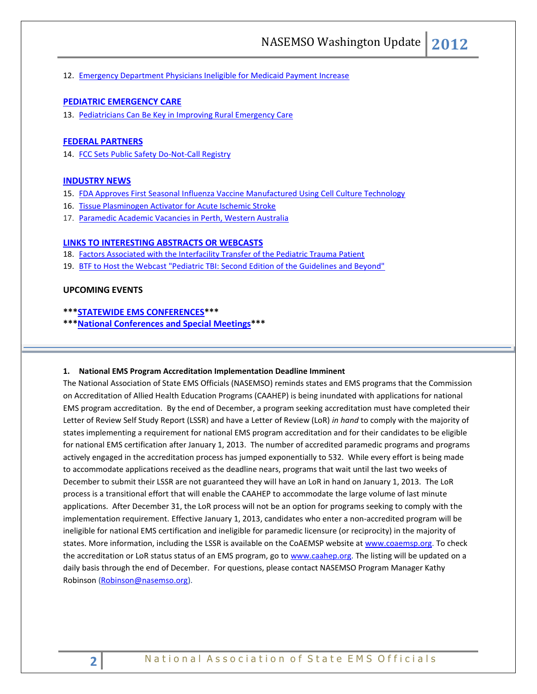12. [Emergency Department Physicians Ineligible for Medicaid Payment Increase](#page-3-5)

# **[PEDIATRIC EMERGENCY CARE](#page-3-6)**

13. [Pediatricians Can Be Key in Improving Rural Emergency Care](#page-3-7)

#### **[FEDERAL PARTNERS](#page-4-0)**

14. [FCC Sets Public Safety Do-Not-Call Registry](#page-4-0)

## **[INDUSTRY NEWS](#page-4-1)**

- 15. [FDA Approves First Seasonal Influenza Vaccine Manufactured Using Cell Culture Technology](#page-4-2)
- 16. [Tissue Plasminogen Activator for Acute Ischemic Stroke](#page-4-3)
- 17. [Paramedic Academic Vacancies in Perth, Western Australia](#page-4-4)

## **[LINKS TO INTERESTING ABSTRACTS OR WEBCASTS](#page-4-5)**

- 18. [Factors Associated with the Interfacility Transfer of the Pediatric Trauma Patient](#page-4-6)
- 19. [BTF to Host the Webcast "Pediatric TBI: Second Edition of the Guidelines and Beyond"](#page-4-7)

## **UPCOMING EVENTS**

### **\*\*[\\*STATEWIDE EMS CONFERENCES\\*](#page-5-0)\*\***

**\*\*[\\*National Conferences and Special Meetings\\*](#page-5-1)\*\***

#### <span id="page-1-0"></span>**1. National EMS Program Accreditation Implementation Deadline Imminent**

<span id="page-1-1"></span>The National Association of State EMS Officials (NASEMSO) reminds states and EMS programs that the Commission on Accreditation of Allied Health Education Programs (CAAHEP) is being inundated with applications for national EMS program accreditation. By the end of December, a program seeking accreditation must have completed their Letter of Review Self Study Report (LSSR) and have a Letter of Review (LoR) *in hand* to comply with the majority of states implementing a requirement for national EMS program accreditation and for their candidates to be eligible for national EMS certification after January 1, 2013. The number of accredited paramedic programs and programs actively engaged in the accreditation process has jumped exponentially to 532. While every effort is being made to accommodate applications received as the deadline nears, programs that wait until the last two weeks of December to submit their LSSR are not guaranteed they will have an LoR in hand on January 1, 2013. The LoR process is a transitional effort that will enable the CAAHEP to accommodate the large volume of last minute applications. After December 31, the LoR process will not be an option for programs seeking to comply with the implementation requirement. Effective January 1, 2013, candidates who enter a non-accredited program will be ineligible for national EMS certification and ineligible for paramedic licensure (or reciprocity) in the majority of states. More information, including the LSSR is available on the CoAEMSP website a[t www.coaemsp.org.](http://www.coaemsp.org/) To check the accreditation or LoR status status of an EMS program, go to [www.caahep.org.](http://www.caahep.org/) The listing will be updated on a daily basis through the end of December. For questions, please contact NASEMSO Program Manager Kathy Robinson [\(Robinson@nasemso.org\)](mailto:Robinson@nasemso.org).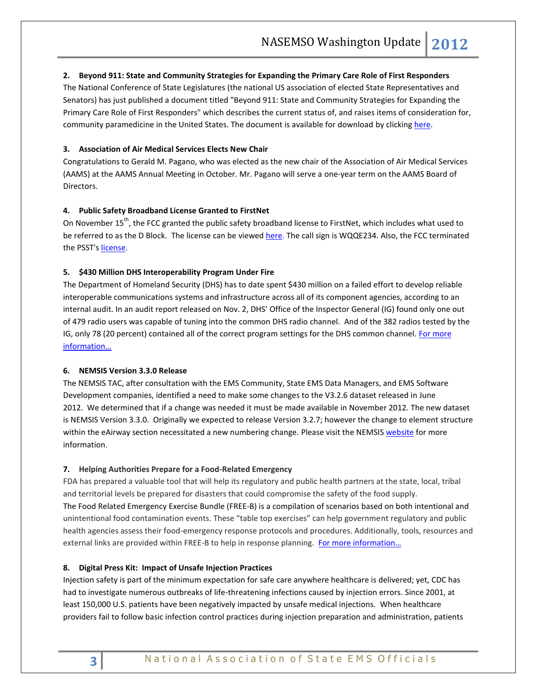## <span id="page-2-0"></span>**2. Beyond 911: State and Community Strategies for Expanding the Primary Care Role of First Responders**

The National Conference of State Legislatures (the national US association of elected State Representatives and Senators) has just published a document titled "Beyond 911: State and Community Strategies for Expanding the Primary Care Role of First Responders" which describes the current status of, and raises items of consideration for, community paramedicine in the United States. The document is available for download by clickin[g here.](http://ircp.info/Portals/22/Downloads/Policy/NCSL%20-%20Beyond%20911%20-%20State%20and%20Community%20Strategies%20for%20Expanding%20the%20Primary%20Care%20Role%20of%20First%20Responders.pdf)

## <span id="page-2-2"></span><span id="page-2-1"></span>**3. Association of Air Medical Services Elects New Chair**

Congratulations to Gerald M. Pagano, who was elected as the new chair of the Association of Air Medical Services (AAMS) at the AAMS Annual Meeting in October. Mr. Pagano will serve a one-year term on the AAMS Board of Directors.

## <span id="page-2-3"></span>**4. Public Safety Broadband License Granted to FirstNet**

On November 15<sup>th</sup>, the FCC granted the public safety broadband license to FirstNet, which includes what used to be referred to as the D Block. The license can be viewed [here.](http://wireless2.fcc.gov/UlsApp/UlsSearch/license.jsp?licKey=3422973) The call sign is WQQE234. Also, the FCC terminated the PSST's [license.](http://wireless2.fcc.gov/UlsApp/UlsSearch/license.jsp?licKey=2969822) 

#### <span id="page-2-4"></span>**5. \$430 Million DHS Interoperability Program Under Fire**

The Department of Homeland Security (DHS) has to date spent \$430 million on a failed effort to develop reliable interoperable communications systems and infrastructure across all of its component agencies, according to an internal audit. In an [audit report](http://www.oig.dhs.gov/assets/Mgmt/2013/OIG_13-06_Nov12.pdf) released on Nov. 2, DHS' Office of the Inspector General (IG) found only one out of 479 radio users was capable of tuning into the common DHS radio channel. And of the 382 radios tested by the IG, only 78 (20 percent) contained all of the correct program settings for the DHS common channel. For more [information…](http://www.hstoday.us/single-article/430-million-dhs-interoperability-program-under-fire/00cd8f88baf7cb297b899934ae404eeb.html)

## <span id="page-2-6"></span><span id="page-2-5"></span>**6. NEMSIS Version 3.3.0 Release**

The NEMSIS TAC, after consultation with the EMS Community, State EMS Data Managers, and EMS Software Development companies, identified a need to make some changes to the V3.2.6 dataset released in June 2012. We determined that if a change was needed it must be made available in November 2012. The new dataset is NEMSIS Version 3.3.0. Originally we expected to release Version 3.2.7; however the change to element structure within the eAirway section necessitated a new numbering change. Please visit the NEMSIS [website](http://www.nemsis.org/) for more information.

#### <span id="page-2-8"></span><span id="page-2-7"></span>**7. Helping Authorities Prepare for a Food-Related Emergency**

FDA has prepared a valuable tool that will help its regulatory and public health partners at the state, local, tribal and territorial levels be prepared for disasters that could compromise the safety of the food supply. The Food Related Emergency Exercise Bundle (FREE-B) is a compilation of scenarios based on both intentional and unintentional food contamination events. These "table top exercises" can help government regulatory and public health agencies assess their food-emergency response protocols and procedures. Additionally, tools, resources and external links are provided within FREE-B to help in response planning. For more information...

## <span id="page-2-10"></span><span id="page-2-9"></span>**8. Digital Press Kit: Impact of Unsafe Injection Practices**

Injection safety is part of the minimum expectation for safe care anywhere healthcare is delivered; yet, CDC has had to investigate numerous outbreaks of life-threatening infections caused by injection errors. Since 2001, at least 150,000 U.S. patients have been negatively impacted by unsafe medical injections. When healthcare providers fail to follow basic infection control practices during injection preparation and administration, patients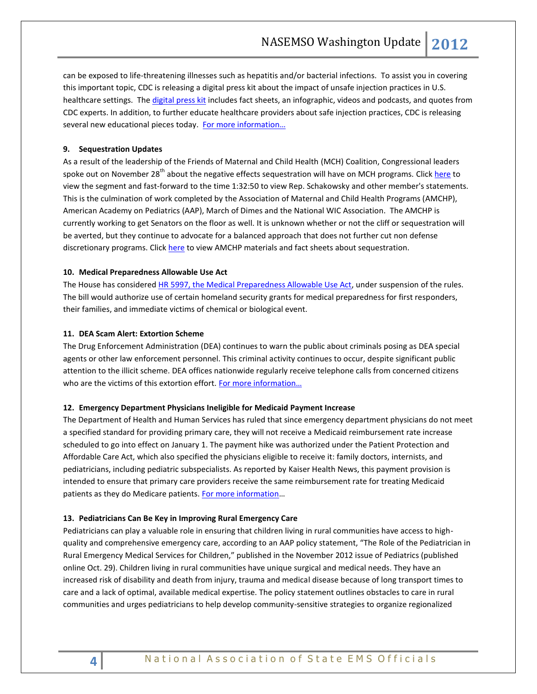can be exposed to life-threatening illnesses such as hepatitis and/or bacterial infections. To assist you in covering this important topic, CDC is releasing a digital press kit about the impact of unsafe injection practices in U.S. healthcare settings. The [digital press kit](http://www.cdc.gov/media/releases/2012/dpk-unsafe-injections.html) includes fact sheets, an infographic, videos and podcasts, and quotes from CDC experts. In addition, to further educate healthcare providers about safe injection practices, CDC is releasing several new educational pieces today. For more information...

## <span id="page-3-1"></span><span id="page-3-0"></span>**9. Sequestration Updates**

As a result of the leadership of the Friends of Maternal and Child Health (MCH) Coalition, Congressional leaders spoke out on November 28<sup>th</sup> about the negative effects sequestration will have on MCH programs. Clic[k here](http://www.c-spanvideo.org/program/HouseSessionPartTwo2) to view the segment and fast-forward to the time 1:32:50 to view Rep. Schakowsky and other member's statements. This is the culmination of work completed by the Association of Maternal and Child Health Programs (AMCHP), American Academy on Pediatrics (AAP), March of Dimes and the National WIC Association. The AMCHP is currently working to get Senators on the floor as well. It is unknown whether or not the cliff or sequestration will be averted, but they continue to advocate for a balanced approach that does not further cut non defense discretionary programs. Click [here](http://www.amchp.org/Policy-Advocacy/Sequestration/Pages/default.aspx) to view AMCHP materials and fact sheets about sequestration.

## <span id="page-3-2"></span>**10. Medical Preparedness Allowable Use Act**

The House has considered [HR 5997, the Medical Preparedness Allowable Use Act,](http://thomas.loc.gov/cgi-bin/bdquery/z?d112:HR5997:/) under suspension of the rules. The bill would authorize use of certain homeland security grants for medical preparedness for first responders, their families, and immediate victims of chemical or biological event.

## <span id="page-3-4"></span><span id="page-3-3"></span>**11. DEA Scam Alert: Extortion Scheme**

The Drug Enforcement Administration (DEA) continues to warn the public about criminals posing as DEA special agents or other law enforcement personnel. This criminal activity continues to occur, despite significant public attention to the illicit scheme. DEA offices nationwide regularly receive telephone calls from concerned citizens who are the victims of this extortion effort. For more information...

#### <span id="page-3-5"></span>**12. Emergency Department Physicians Ineligible for Medicaid Payment Increase**

The Department of Health and Human Services has ruled that since emergency department physicians do not meet a specified standard for providing primary care, they will not receive a Medicaid reimbursement rate increase scheduled to go into effect on January 1. The payment hike was authorized under the Patient Protection and Affordable Care Act, which also specified the physicians eligible to receive it: family doctors, internists, and pediatricians, including pediatric subspecialists. As reported by Kaiser Health News, this payment provision is intended to ensure that primary care providers receive the same reimbursement rate for treating Medicaid patients as they do Medicare patients. [For more information](http://capsules.kaiserhealthnews.org/index.php/2012/11/obgyns-and-er-docs-excluded-from-health-laws-medicaid-pay-hike/)...

### <span id="page-3-7"></span><span id="page-3-6"></span>**13. Pediatricians Can Be Key in Improving Rural Emergency Care**

Pediatricians can play a valuable role in ensuring that children living in rural communities have access to highquality and comprehensive emergency care, according to an AAP policy statement, "The Role of the Pediatrician in Rural Emergency Medical Services for Children," published in the November 2012 issue of Pediatrics (published online Oct. 29). Children living in rural communities have unique surgical and medical needs. They have an increased risk of disability and death from injury, trauma and medical disease because of long transport times to care and a lack of optimal, available medical expertise. The policy statement outlines obstacles to care in rural communities and urges pediatricians to help develop community-sensitive strategies to organize regionalized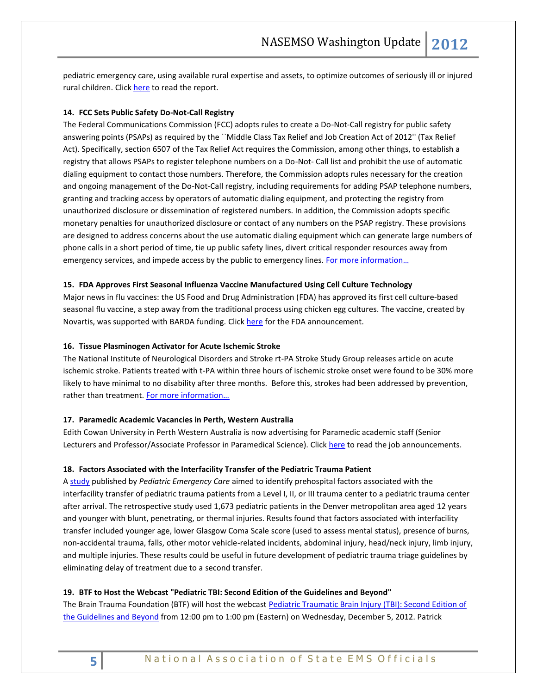pediatric emergency care, using available rural expertise and assets, to optimize outcomes of seriously ill or injured rural children. Clic[k here](http://pediatrics.aappublications.org/content/130/5/978) to read the report.

## <span id="page-4-0"></span>**14. FCC Sets Public Safety Do-Not-Call Registry**

The Federal Communications Commission (FCC) adopts rules to create a Do-Not-Call registry for public safety answering points (PSAPs) as required by the ``Middle Class Tax Relief and Job Creation Act of 2012'' (Tax Relief Act). Specifically, section 6507 of the Tax Relief Act requires the Commission, among other things, to establish a registry that allows PSAPs to register telephone numbers on a Do-Not- Call list and prohibit the use of automatic dialing equipment to contact those numbers. Therefore, the Commission adopts rules necessary for the creation and ongoing management of the Do-Not-Call registry, including requirements for adding PSAP telephone numbers, granting and tracking access by operators of automatic dialing equipment, and protecting the registry from unauthorized disclosure or dissemination of registered numbers. In addition, the Commission adopts specific monetary penalties for unauthorized disclosure or contact of any numbers on the PSAP registry. These provisions are designed to address concerns about the use automatic dialing equipment which can generate large numbers of phone calls in a short period of time, tie up public safety lines, divert critical responder resources away from emergency services, and impede access by the public to emergency lines. For more information...

## <span id="page-4-2"></span><span id="page-4-1"></span>**15. FDA Approves First Seasonal Influenza Vaccine Manufactured Using Cell Culture Technology**

Major news in flu vaccines: the US Food and Drug Administration (FDA) has approved its first cell culture-based seasonal flu vaccine, a step away from the traditional process using chicken egg cultures. The vaccine, created by Novartis, was supported with BARDA funding. Click [here](http://www.fda.gov/NewsEvents/Newsroom/PressAnnouncements/ucm328982.htm) for the FDA announcement.

## <span id="page-4-3"></span>**16. Tissue Plasminogen Activator for Acute Ischemic Stroke**

The National Institute of Neurological Disorders and Stroke rt-PA Stroke Study Group releases article on acute ischemic stroke. Patients treated with t-PA within three hours of ischemic stroke onset were found to be 30% more likely to have minimal to no disability after three months. Before this, strokes had been addressed by prevention, rather than treatment. For more information...

#### <span id="page-4-4"></span>**17. Paramedic Academic Vacancies in Perth, Western Australia**

Edith Cowan University in Perth Western Australia is now advertising for Paramedic academic staff (Senior Lecturers and Professor/Associate Professor in Paramedical Science). Click [here](http://bit.ly/U9kYIr) to read the job announcements.

#### <span id="page-4-6"></span><span id="page-4-5"></span>**18. Factors Associated with the Interfacility Transfer of the Pediatric Trauma Patient**

A [study](http://www.ncbi.nlm.nih.gov/pubmed?term=22929144) published by *Pediatric Emergency Care* aimed to identify prehospital factors associated with the interfacility transfer of pediatric trauma patients from a Level I, II, or III trauma center to a pediatric trauma center after arrival. The retrospective study used 1,673 pediatric patients in the Denver metropolitan area aged 12 years and younger with blunt, penetrating, or thermal injuries. Results found that factors associated with interfacility transfer included younger age, lower Glasgow Coma Scale score (used to assess mental status), presence of burns, non-accidental trauma, falls, other motor vehicle-related incidents, abdominal injury, head/neck injury, limb injury, and multiple injuries. These results could be useful in future development of pediatric trauma triage guidelines by eliminating delay of treatment due to a second transfer.

#### <span id="page-4-7"></span>**19. BTF to Host the Webcast "Pediatric TBI: Second Edition of the Guidelines and Beyond"**

The Brain Trauma Foundation (BTF) will host the webcast Pediatric Traumatic Brain Injury (TBI): Second Edition of [the Guidelines and Beyond](http://us1.campaign-archive2.com/?u=dfb11326be59bc7f155536629&id=ffdc9bd594&e=cd9e07a5b1) from 12:00 pm to 1:00 pm (Eastern) on Wednesday, December 5, 2012. Patrick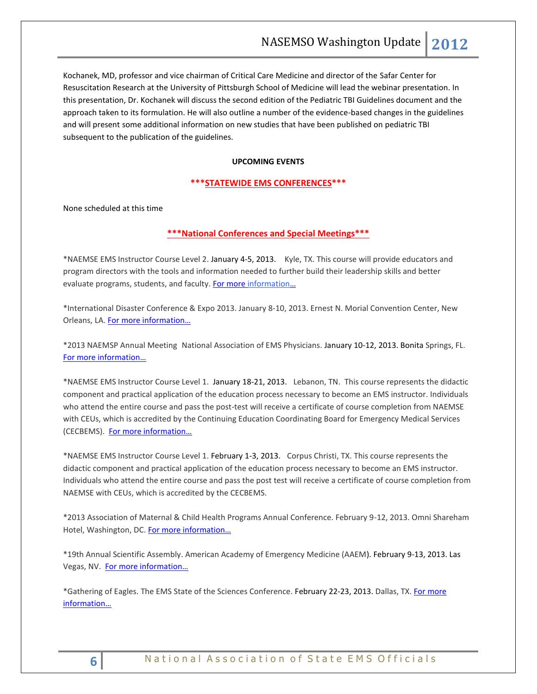Kochanek, MD, professor and vice chairman of Critical Care Medicine and director of the Safar Center for Resuscitation Research at the University of Pittsburgh School of Medicine will lead the webinar presentation. In this presentation, Dr. Kochanek will discuss the second edition of the Pediatric TBI Guidelines document and the approach taken to its formulation. He will also outline a number of the evidence-based changes in the guidelines and will present some additional information on new studies that have been published on pediatric TBI subsequent to the publication of the guidelines.

## **UPCOMING EVENTS**

### <span id="page-5-0"></span>**\*\*\*STATEWIDE EMS CONFERENCES\*\*\***

<span id="page-5-1"></span>None scheduled at this time

## **\*\*\*National Conferences and Special Meetings\*\*\***

\*NAEMSE EMS Instructor Course Level 2. January 4-5, 2013. Kyle, TX. This course will provide educators and program directors with the tools and information needed to further build their leadership skills and better evaluate programs, students, and faculty. [For more information](http://www.naemse.org/instructor-course/)...

\*International Disaster Conference & Expo 2013. January 8-10, 2013. Ernest N. Morial Convention Center, New Orleans, LA. [For more information…](http://www.internationaldisasterconference.com/expo.html)

\*2013 NAEMSP Annual Meeting National Association of EMS Physicians. January 10-12, 2013. Bonita Springs, FL. [For more information…](http://www.naemsp.org/Pages/Annual-Meeting.aspx)

\*NAEMSE EMS Instructor Course Level 1. January 18-21, 2013. Lebanon, TN. This course represents the didactic component and practical application of the education process necessary to become an EMS instructor. Individuals who attend the entire course and pass the post-test will receive a certificate of course completion from NAEMSE with CEUs, which is accredited by the Continuing Education Coordinating Board for Emergency Medical Services (CECBEMS). [For more information…](http://www.naemse.org/instructor-course/)

\*NAEMSE EMS Instructor Course Level 1. February 1-3, 2013. Corpus Christi, TX. This course represents the didactic component and practical application of the education process necessary to become an EMS instructor. Individuals who attend the entire course and pass the post test will receive a certificate of course completion from NAEMSE with CEUs, which is accredited by the CECBEMS.

\*2013 Association of Maternal & Child Health Programs Annual Conference. February 9-12, 2013. Omni Shareham Hotel, Washington, DC. For more information...

\*19th Annual Scientific Assembly. American Academy of Emergency Medicine (AAEM). February 9-13, 2013. Las Vegas, NV. For [more information…](http://www.aaem.org/education/scientific-assembly)

\*Gathering of Eagles. The EMS State of the Sciences Conference. February 22-23, 2013. Dallas, TX. [For more](http://gatheringofeagles.us/)  [information…](http://gatheringofeagles.us/)